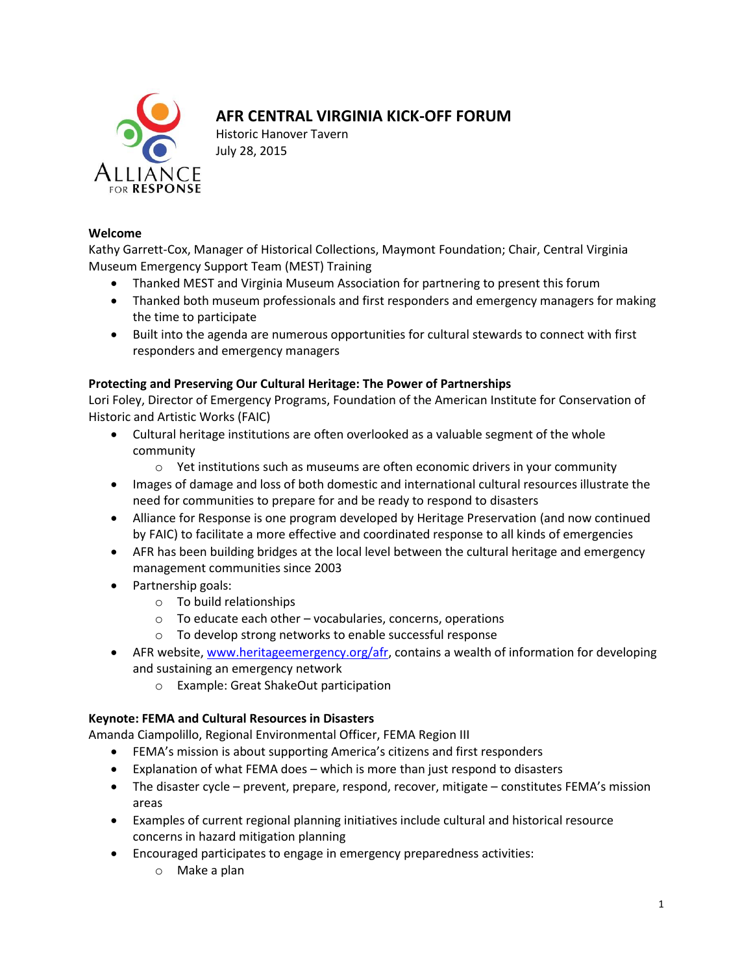

# **AFR CENTRAL VIRGINIA KICK-OFF FORUM**

Historic Hanover Tavern July 28, 2015

#### **Welcome**

Kathy Garrett-Cox, Manager of Historical Collections, Maymont Foundation; Chair, Central Virginia Museum Emergency Support Team (MEST) Training

- Thanked MEST and Virginia Museum Association for partnering to present this forum
- Thanked both museum professionals and first responders and emergency managers for making the time to participate
- Built into the agenda are numerous opportunities for cultural stewards to connect with first responders and emergency managers

# **Protecting and Preserving Our Cultural Heritage: The Power of Partnerships**

Lori Foley, Director of Emergency Programs, Foundation of the American Institute for Conservation of Historic and Artistic Works (FAIC)

- Cultural heritage institutions are often overlooked as a valuable segment of the whole community
	- $\circ$  Yet institutions such as museums are often economic drivers in your community
- Images of damage and loss of both domestic and international cultural resources illustrate the need for communities to prepare for and be ready to respond to disasters
- Alliance for Response is one program developed by Heritage Preservation (and now continued by FAIC) to facilitate a more effective and coordinated response to all kinds of emergencies
- AFR has been building bridges at the local level between the cultural heritage and emergency management communities since 2003
- Partnership goals:
	- o To build relationships
	- o To educate each other vocabularies, concerns, operations
	- o To develop strong networks to enable successful response
- AFR website, [www.heritageemergency.org/afr,](http://www.heritageemergency.org/afr) contains a wealth of information for developing and sustaining an emergency network
	- o Example: Great ShakeOut participation

# **Keynote: FEMA and Cultural Resources in Disasters**

Amanda Ciampolillo, Regional Environmental Officer, FEMA Region III

- FEMA's mission is about supporting America's citizens and first responders
- Explanation of what FEMA does which is more than just respond to disasters
- The disaster cycle prevent, prepare, respond, recover, mitigate constitutes FEMA's mission areas
- Examples of current regional planning initiatives include cultural and historical resource concerns in hazard mitigation planning
- Encouraged participates to engage in emergency preparedness activities:
	- o Make a plan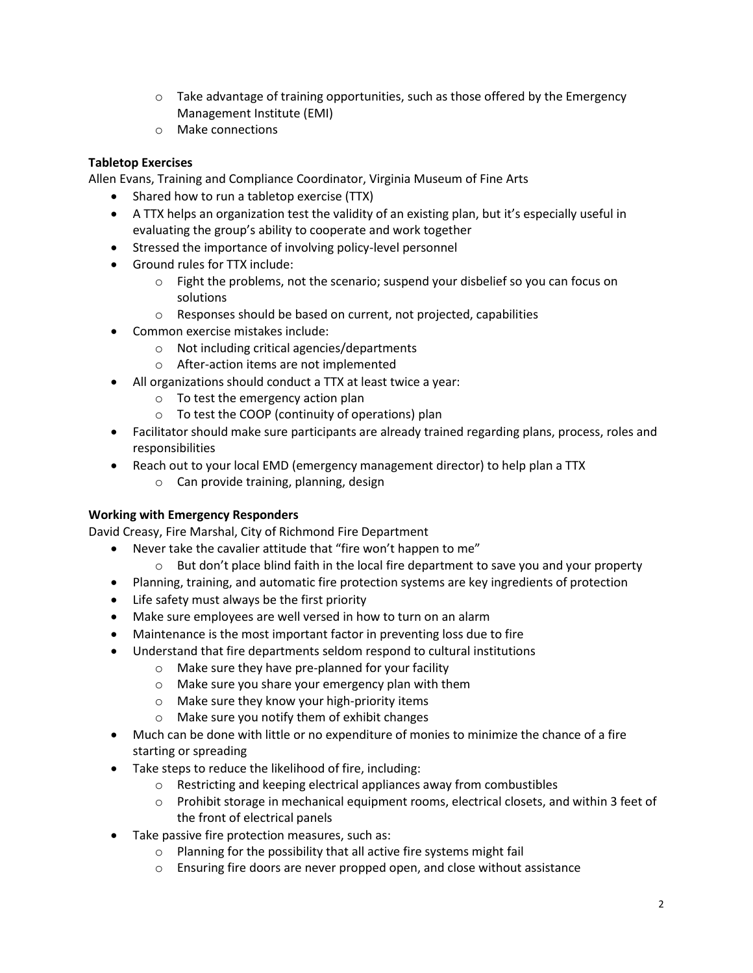- $\circ$  Take advantage of training opportunities, such as those offered by the Emergency Management Institute (EMI)
- o Make connections

# **Tabletop Exercises**

Allen Evans, Training and Compliance Coordinator, Virginia Museum of Fine Arts

- Shared how to run a tabletop exercise (TTX)
- A TTX helps an organization test the validity of an existing plan, but it's especially useful in evaluating the group's ability to cooperate and work together
- Stressed the importance of involving policy-level personnel
- Ground rules for TTX include:
	- $\circ$  Fight the problems, not the scenario; suspend your disbelief so you can focus on solutions
	- o Responses should be based on current, not projected, capabilities
- Common exercise mistakes include:
	- o Not including critical agencies/departments
	- o After-action items are not implemented
- All organizations should conduct a TTX at least twice a year:
	- o To test the emergency action plan
	- o To test the COOP (continuity of operations) plan
- Facilitator should make sure participants are already trained regarding plans, process, roles and responsibilities
- Reach out to your local EMD (emergency management director) to help plan a TTX
	- o Can provide training, planning, design

# **Working with Emergency Responders**

David Creasy, Fire Marshal, City of Richmond Fire Department

- Never take the cavalier attitude that "fire won't happen to me"
	- $\circ$  But don't place blind faith in the local fire department to save you and your property
- Planning, training, and automatic fire protection systems are key ingredients of protection
- Life safety must always be the first priority
- Make sure employees are well versed in how to turn on an alarm
- Maintenance is the most important factor in preventing loss due to fire
- Understand that fire departments seldom respond to cultural institutions
	- o Make sure they have pre-planned for your facility
	- o Make sure you share your emergency plan with them
	- o Make sure they know your high-priority items
	- o Make sure you notify them of exhibit changes
- Much can be done with little or no expenditure of monies to minimize the chance of a fire starting or spreading
- Take steps to reduce the likelihood of fire, including:
	- o Restricting and keeping electrical appliances away from combustibles
	- $\circ$  Prohibit storage in mechanical equipment rooms, electrical closets, and within 3 feet of the front of electrical panels
- Take passive fire protection measures, such as:
	- o Planning for the possibility that all active fire systems might fail
	- o Ensuring fire doors are never propped open, and close without assistance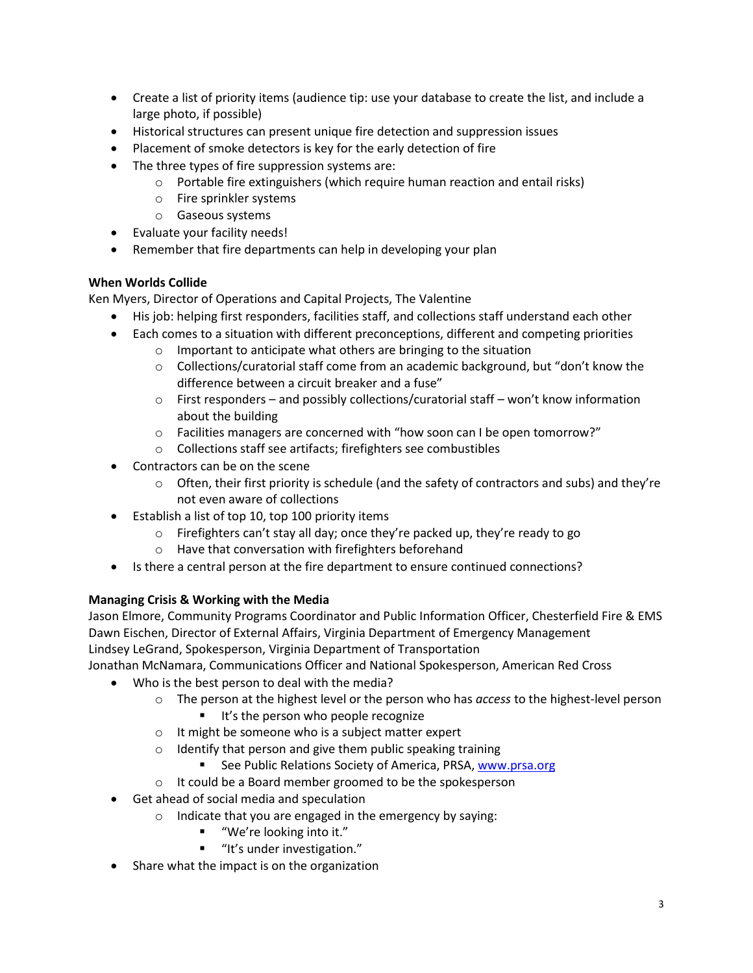- Create a list of priority items (audience tip: use your database to create the list, and include a large photo, if possible)
- Historical structures can present unique fire detection and suppression issues
- Placement of smoke detectors is key for the early detection of fire
- The three types of fire suppression systems are:
	- o Portable fire extinguishers (which require human reaction and entail risks)
	- o Fire sprinkler systems
	- o Gaseous systems
- Evaluate your facility needs!
- Remember that fire departments can help in developing your plan

# **When Worlds Collide**

Ken Myers, Director of Operations and Capital Projects, The Valentine

- His job: helping first responders, facilities staff, and collections staff understand each other
- Each comes to a situation with different preconceptions, different and competing priorities
	- o Important to anticipate what others are bringing to the situation
	- $\circ$  Collections/curatorial staff come from an academic background, but "don't know the difference between a circuit breaker and a fuse"
	- $\circ$  First responders and possibly collections/curatorial staff won't know information about the building
	- o Facilities managers are concerned with "how soon can I be open tomorrow?"
	- o Collections staff see artifacts; firefighters see combustibles
- Contractors can be on the scene
	- $\circ$  Often, their first priority is schedule (and the safety of contractors and subs) and they're not even aware of collections
- Establish a list of top 10, top 100 priority items
	- o Firefighters can't stay all day; once they're packed up, they're ready to go
	- o Have that conversation with firefighters beforehand
- Is there a central person at the fire department to ensure continued connections?

# **Managing Crisis & Working with the Media**

Jason Elmore, Community Programs Coordinator and Public Information Officer, Chesterfield Fire & EMS Dawn Eischen, Director of External Affairs, Virginia Department of Emergency Management Lindsey LeGrand, Spokesperson, Virginia Department of Transportation

Jonathan McNamara, Communications Officer and National Spokesperson, American Red Cross

- Who is the best person to deal with the media?
	- o The person at the highest level or the person who has *access* to the highest-level person
		- It's the person who people recognize
	- o It might be someone who is a subject matter expert
	- o Identify that person and give them public speaking training
		- See Public Relations Society of America, PRSA, [www.prsa.org](http://www.prsa.org/)
	- o It could be a Board member groomed to be the spokesperson
- Get ahead of social media and speculation
	- o Indicate that you are engaged in the emergency by saying:
		- "We're looking into it."
		- "It's under investigation."
- Share what the impact is on the organization